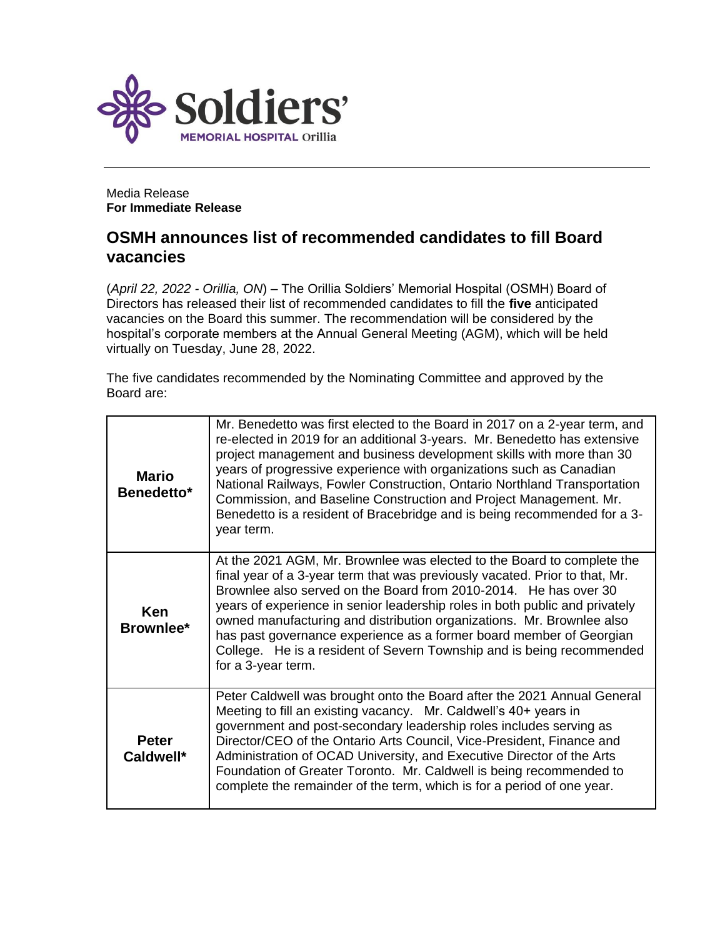

Media Release **For Immediate Release**

## **OSMH announces list of recommended candidates to fill Board vacancies**

(*April 22, 2022 - Orillia, ON*) – The Orillia Soldiers' Memorial Hospital (OSMH) Board of Directors has released their list of recommended candidates to fill the **five** anticipated vacancies on the Board this summer. The recommendation will be considered by the hospital's corporate members at the Annual General Meeting (AGM), which will be held virtually on Tuesday, June 28, 2022.

The five candidates recommended by the Nominating Committee and approved by the Board are:

| <b>Mario</b><br>Benedetto* | Mr. Benedetto was first elected to the Board in 2017 on a 2-year term, and<br>re-elected in 2019 for an additional 3-years. Mr. Benedetto has extensive<br>project management and business development skills with more than 30<br>years of progressive experience with organizations such as Canadian<br>National Railways, Fowler Construction, Ontario Northland Transportation<br>Commission, and Baseline Construction and Project Management. Mr.<br>Benedetto is a resident of Bracebridge and is being recommended for a 3-<br>year term.       |
|----------------------------|---------------------------------------------------------------------------------------------------------------------------------------------------------------------------------------------------------------------------------------------------------------------------------------------------------------------------------------------------------------------------------------------------------------------------------------------------------------------------------------------------------------------------------------------------------|
| Ken<br>Brownlee*           | At the 2021 AGM, Mr. Brownlee was elected to the Board to complete the<br>final year of a 3-year term that was previously vacated. Prior to that, Mr.<br>Brownlee also served on the Board from 2010-2014. He has over 30<br>years of experience in senior leadership roles in both public and privately<br>owned manufacturing and distribution organizations. Mr. Brownlee also<br>has past governance experience as a former board member of Georgian<br>College. He is a resident of Severn Township and is being recommended<br>for a 3-year term. |
| <b>Peter</b><br>Caldwell*  | Peter Caldwell was brought onto the Board after the 2021 Annual General<br>Meeting to fill an existing vacancy. Mr. Caldwell's 40+ years in<br>government and post-secondary leadership roles includes serving as<br>Director/CEO of the Ontario Arts Council, Vice-President, Finance and<br>Administration of OCAD University, and Executive Director of the Arts<br>Foundation of Greater Toronto. Mr. Caldwell is being recommended to<br>complete the remainder of the term, which is for a period of one year.                                    |